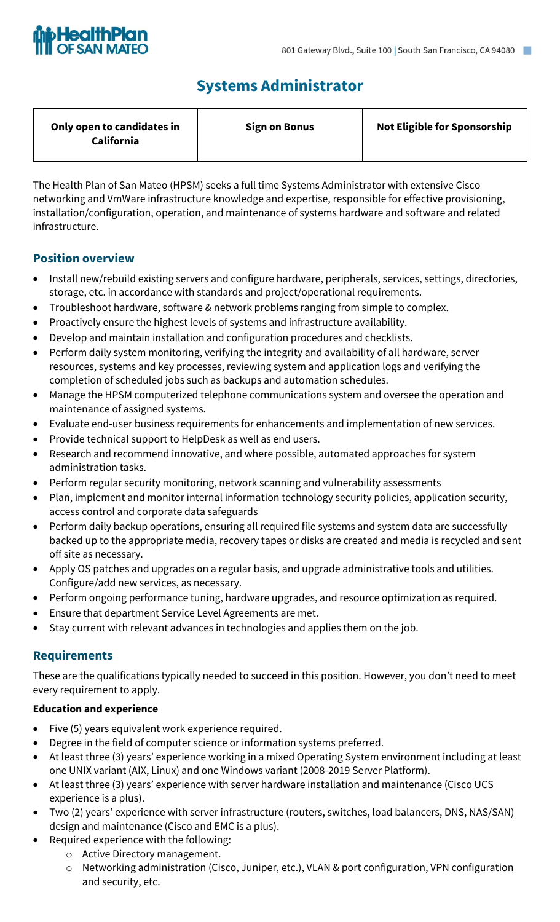

# **Systems Administrator**

| Only open to candidates in<br><b>California</b> | <b>Sign on Bonus</b> | <b>Not Eligible for Sponsorship</b> |
|-------------------------------------------------|----------------------|-------------------------------------|
|                                                 |                      |                                     |

The Health Plan of San Mateo (HPSM) seeks a full time Systems Administrator with extensive Cisco networking and VmWare infrastructure knowledge and expertise, responsible for effective provisioning, installation/configuration, operation, and maintenance of systems hardware and software and related infrastructure.

## **Position overview**

- Install new/rebuild existing servers and configure hardware, peripherals, services, settings, directories, storage, etc. in accordance with standards and project/operational requirements.
- Troubleshoot hardware, software & network problems ranging from simple to complex.
- Proactively ensure the highest levels of systems and infrastructure availability.
- Develop and maintain installation and configuration procedures and checklists.
- Perform daily system monitoring, verifying the integrity and availability of all hardware, server resources, systems and key processes, reviewing system and application logs and verifying the completion of scheduled jobs such as backups and automation schedules.
- Manage the HPSM computerized telephone communications system and oversee the operation and maintenance of assigned systems.
- Evaluate end-user business requirements for enhancements and implementation of new services.
- Provide technical support to HelpDesk as well as end users.
- Research and recommend innovative, and where possible, automated approaches for system administration tasks.
- Perform regular security monitoring, network scanning and vulnerability assessments
- Plan, implement and monitor internal information technology security policies, application security, access control and corporate data safeguards
- Perform daily backup operations, ensuring all required file systems and system data are successfully backed up to the appropriate media, recovery tapes or disks are created and media is recycled and sent off site as necessary.
- Apply OS patches and upgrades on a regular basis, and upgrade administrative tools and utilities. Configure/add new services, as necessary.
- Perform ongoing performance tuning, hardware upgrades, and resource optimization as required.
- Ensure that department Service Level Agreements are met.
- Stay current with relevant advances in technologies and applies them on the job.

# **Requirements**

These are the qualifications typically needed to succeed in this position. However, you don't need to meet every requirement to apply.

#### **Education and experience**

- Five (5) years equivalent work experience required.
- Degree in the field of computer science or information systems preferred.
- At least three (3) years' experience working in a mixed Operating System environment including at least one UNIX variant (AIX, Linux) and one Windows variant (2008-2019 Server Platform).
- At least three (3) years' experience with server hardware installation and maintenance (Cisco UCS experience is a plus).
- Two (2) years' experience with server infrastructure (routers, switches, load balancers, DNS, NAS/SAN) design and maintenance (Cisco and EMC is a plus).
- Required experience with the following:
	- o Active Directory management.
	- o Networking administration (Cisco, Juniper, etc.), VLAN & port configuration, VPN configuration and security, etc.